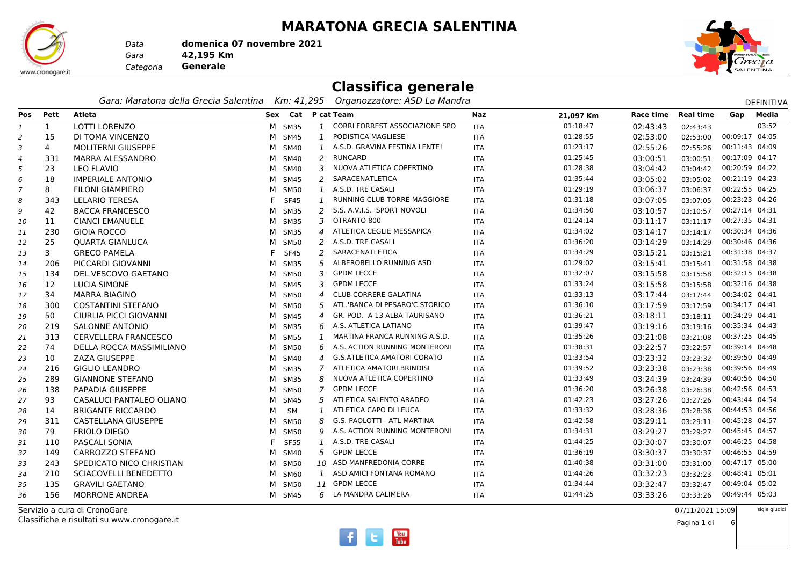#### **MARATONA GRECIA SALENTINA**

www.cronogare.it

*Gara* **42,195 Km***Data***domenica 07 novembre 2021**

 **Generale***Categoria*



#### **Classifica generale**

*Gara: Maratona della Grecìa Salentina Km: 41,295 Organozzatore: ASD La Mandra*

|                |              | Gara: Maratona della Grecia Salentina |   |                    |                | Km: 41,295 Organozzatore: ASD La Mandra |            |                        |                  |                | <b>DEFINITIVA</b> |
|----------------|--------------|---------------------------------------|---|--------------------|----------------|-----------------------------------------|------------|------------------------|------------------|----------------|-------------------|
| Pos            | Pett         | Atleta                                |   | Sex Cat P cat Team |                |                                         | Naz        | Race time<br>21,097 Km | <b>Real time</b> | Gap            | Media             |
| 1              | $\mathbf{1}$ | <b>LOTTI LORENZO</b>                  |   | M SM35             |                | 1 CORRI FORREST ASSOCIAZIONE SPO        | <b>ITA</b> | 01:18:47<br>02:43:43   | 02:43:43         |                | 03:52             |
| 2              | 15           | DI TOMA VINCENZO                      |   | M SM45             | $\mathbf{1}$   | PODISTICA MAGLIESE                      | ITA        | 01:28:55<br>02:53:00   | 02:53:00         | 00:09:17 04:05 |                   |
| 3              | 4            | <b>MOLITERNI GIUSEPPE</b>             |   | M SM40             | 1              | A.S.D. GRAVINA FESTINA LENTE!           | ITA        | 01:23:17<br>02:55:26   | 02:55:26         | 00:11:43 04:09 |                   |
| 4              | 331          | MARRA ALESSANDRO                      |   | M SM40             | 2              | <b>RUNCARD</b>                          | ITA        | 01:25:45<br>03:00:51   | 03:00:51         | 00:17:09 04:17 |                   |
| 5              | 23           | <b>LEO FLAVIO</b>                     |   | M SM40             | 3              | NUOVA ATLETICA COPERTINO                | ITA        | 01:28:38<br>03:04:42   | 03:04:42         | 00:20:59 04:22 |                   |
| 6              | 18           | <b>IMPERIALE ANTONIO</b>              |   | M SM45             | 2              | SARACENATLETICA                         | ITA        | 01:35:44<br>03:05:02   | 03:05:02         | 00:21:19 04:23 |                   |
| $\overline{7}$ | 8            | <b>FILONI GIAMPIERO</b>               |   | M SM50             | 1              | A.S.D. TRE CASALI                       | <b>ITA</b> | 01:29:19<br>03:06:37   | 03:06:37         | 00:22:55 04:25 |                   |
| 8              | 343          | LELARIO TERESA                        |   | <b>SF45</b>        | $\mathbf{1}$   | RUNNING CLUB TORRE MAGGIORE             | ITA        | 01:31:18<br>03:07:05   | 03:07:05         | 00:23:23 04:26 |                   |
| 9              | 42           | <b>BACCA FRANCESCO</b>                |   | M SM35             | 2              | S.S. A.V.I.S. SPORT NOVOLI              | ITA        | 01:34:50<br>03:10:57   | 03:10:57         | 00:27:14 04:31 |                   |
| 10             | 11           | <b>CIANCI EMANUELE</b>                |   | M SM35             | 3              | OTRANTO 800                             | ITA        | 01:24:14<br>03:11:17   | 03:11:17         | 00:27:35 04:31 |                   |
| 11             | 230          | <b>GIOIA ROCCO</b>                    |   | M SM35             | $\overline{4}$ | ATLETICA CEGLIE MESSAPICA               | <b>ITA</b> | 01:34:02<br>03:14:17   | 03:14:17         | 00:30:34 04:36 |                   |
| 12             | 25           | <b>QUARTA GIANLUCA</b>                |   | M SM50             |                | 2 A.S.D. TRE CASALI                     | ITA        | 01:36:20<br>03:14:29   | 03:14:29         | 00:30:46 04:36 |                   |
| 13             | 3            | <b>GRECO PAMELA</b>                   |   | <b>SF45</b>        |                | 2 SARACENATLETICA                       | <b>ITA</b> | 01:34:29<br>03:15:21   | 03:15:21         | 00:31:38 04:37 |                   |
| 14             | 206          | PICCARDI GIOVANNI                     |   | M SM35             | 5              | ALBEROBELLO RUNNING ASD                 | ITA        | 01:29:02<br>03:15:41   | 03:15:41         | 00:31:58 04:38 |                   |
| 15             | 134          | DEL VESCOVO GAETANO                   |   | M SM50             | 3              | <b>GPDM LECCE</b>                       | <b>ITA</b> | 01:32:07<br>03:15:58   | 03:15:58         | 00:32:15 04:38 |                   |
| 16             | 12           | LUCIA SIMONE                          |   | M SM45             | 3              | <b>GPDM LECCE</b>                       | ITA        | 01:33:24<br>03:15:58   | 03:15:58         | 00:32:16 04:38 |                   |
| 17             | 34           | <b>MARRA BIAGINO</b>                  |   | M SM50             | 4              | <b>CLUB CORRERE GALATINA</b>            | ITA        | 01:33:13<br>03:17:44   | 03:17:44         | 00:34:02 04:41 |                   |
| 18             | 300          | <b>COSTANTINI STEFANO</b>             |   | M SM50             | 5              | ATL.'BANCA DI PESARO'C.STORICO          | ITA        | 01:36:10<br>03:17:59   | 03:17:59         | 00:34:17 04:41 |                   |
| 19             | 50           | CIURLIA PICCI GIOVANNI                |   | M SM45             | 4              | GR. POD. A 13 ALBA TAURISANO            | ITA        | 01:36:21<br>03:18:11   | 03:18:11         | 00:34:29 04:41 |                   |
| 20             | 219          | <b>SALONNE ANTONIO</b>                |   | M SM35             | 6              | A.S. ATLETICA LATIANO                   | <b>ITA</b> | 01:39:47<br>03:19:16   | 03:19:16         | 00:35:34 04:43 |                   |
| 21             | 313          | <b>CERVELLERA FRANCESCO</b>           |   | M SM55             | $\mathbf{1}$   | MARTINA FRANCA RUNNING A.S.D.           | ITA        | 01:35:26<br>03:21:08   | 03:21:08         | 00:37:25 04:45 |                   |
| 22             | 74           | DELLA ROCCA MASSIMILIANO              |   | M SM50             | 6              | A.S. ACTION RUNNING MONTERONI           | <b>ITA</b> | 01:38:31<br>03:22:57   | 03:22:57         | 00:39:14 04:48 |                   |
| 23             | 10           | <b>ZAZA GIUSEPPE</b>                  |   | M SM40             | 4              | <b>G.S.ATLETICA AMATORI CORATO</b>      | ITA        | 01:33:54<br>03:23:32   | 03:23:32         | 00:39:50 04:49 |                   |
| 24             | 216          | <b>GIGLIO LEANDRO</b>                 |   | M SM35             | 7              | ATLETICA AMATORI BRINDISI               | ITA        | 01:39:52<br>03:23:38   | 03:23:38         | 00:39:56 04:49 |                   |
| 25             | 289          | <b>GIANNONE STEFANO</b>               |   | M SM35             | 8              | NUOVA ATLETICA COPERTINO                | <b>ITA</b> | 01:33:49<br>03:24:39   | 03:24:39         | 00:40:56 04:50 |                   |
| 26             | 138          | PAPADIA GIUSEPPE                      |   | M SM50             | 7              | <b>GPDM LECCE</b>                       | <b>ITA</b> | 01:36:20<br>03:26:38   | 03:26:38         | 00:42:56 04:53 |                   |
| 27             | 93           | CASALUCI PANTALEO OLIANO              |   | M SM45             | 5              | ATLETICA SALENTO ARADEO                 | ITA        | 01:42:23<br>03:27:26   | 03:27:26         | 00:43:44 04:54 |                   |
| 28             | 14           | <b>BRIGANTE RICCARDO</b>              | м | <b>SM</b>          | 1              | ATLETICA CAPO DI LEUCA                  | ITA        | 01:33:32<br>03:28:36   | 03:28:36         | 00:44:53 04:56 |                   |
| 29             | 311          | CASTELLANA GIUSEPPE                   |   | M SM50             | 8              | G.S. PAOLOTTI - ATL MARTINA             | ITA        | 01:42:58<br>03:29:11   | 03:29:11         | 00:45:28 04:57 |                   |
| 30             | 79           | <b>FRIOLO DIEGO</b>                   |   | M SM50             | 9              | A.S. ACTION RUNNING MONTERONI           | <b>ITA</b> | 01:34:31<br>03:29:27   | 03:29:27         | 00:45:45 04:57 |                   |
| 31             | 110          | PASCALI SONIA                         |   | <b>SF55</b>        | 1              | A.S.D. TRE CASALI                       | ITA        | 01:44:25<br>03:30:07   | 03:30:07         | 00:46:25 04:58 |                   |
| 32             | 149          | CARROZZO STEFANO                      |   | M SM40             | 5              | <b>GPDM LECCE</b>                       | ITA        | 01:36:19<br>03:30:37   | 03:30:37         | 00:46:55 04:59 |                   |
| 33             | 243          | SPEDICATO NICO CHRISTIAN              |   | M SM50             |                | 10 ASD MANFREDONIA CORRE                | <b>ITA</b> | 01:40:38<br>03:31:00   | 03:31:00         | 00:47:17 05:00 |                   |
| 34             | 210          | SCIACOVELLI BENEDETTO                 |   | M SM60             | 1              | ASD AMICI FONTANA ROMANO                | <b>ITA</b> | 01:44:26<br>03:32:23   | 03:32:23         | 00:48:41 05:01 |                   |
| 35             | 135          | <b>GRAVILI GAETANO</b>                |   | M SM50             |                | 11 GPDM LECCE                           | ITA        | 01:34:44<br>03:32:47   | 03:32:47         | 00:49:04 05:02 |                   |
| 36             | 156          | <b>MORRONE ANDREA</b>                 |   | M SM45             |                | 6 LA MANDRA CALIMERA                    | <b>ITA</b> | 01:44:25<br>03:33:26   | 03:33:26         | 00:49:44 05:03 |                   |

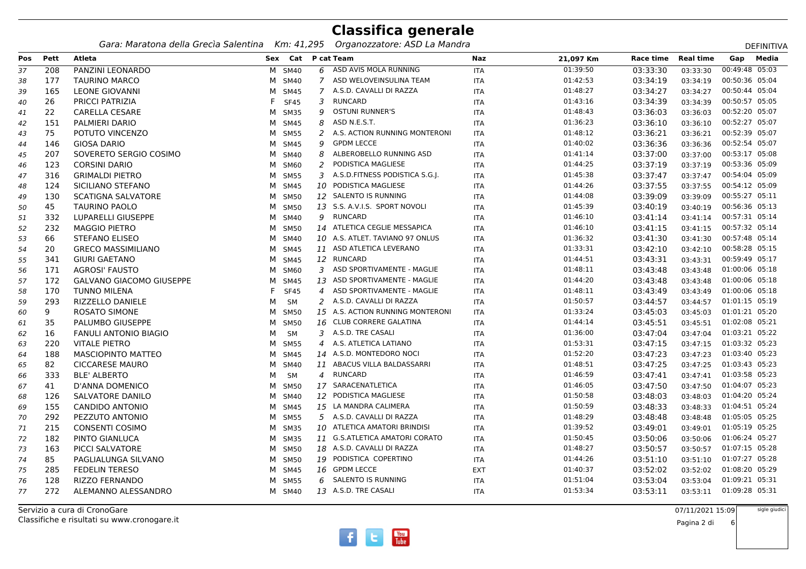*Gara: Maratona della Grecìa Salentina Km: 41,295 Organozzatore: ASD La Mandra*

| <b>DEFINITIVA</b> |  |
|-------------------|--|
|                   |  |

|     |      | Gara: Maratona della Grecia Salentina |   | KM: 41,295         |               | Organozzatore: ASD La Mandra     |            |           |           |                  |                | DEFINITIVA |
|-----|------|---------------------------------------|---|--------------------|---------------|----------------------------------|------------|-----------|-----------|------------------|----------------|------------|
| Pos | Pett | Atleta                                |   | Sex Cat P cat Team |               |                                  | Naz        | 21,097 Km | Race time | <b>Real time</b> | Gap            | Media      |
| 37  | 208  | PANZINI LEONARDO                      |   | M SM40             |               | 6 ASD AVIS MOLA RUNNING          | <b>ITA</b> | 01:39:50  | 03:33:30  | 03:33:30         | 00:49:48 05:03 |            |
| 38  | 177  | <b>TAURINO MARCO</b>                  |   | M SM40             | $\mathcal{I}$ | ASD WELOVEINSULINA TEAM          | <b>ITA</b> | 01:42:53  | 03:34:19  | 03:34:19         | 00:50:36 05:04 |            |
| 39  | 165  | <b>LEONE GIOVANNI</b>                 |   | M SM45             |               | 7 A.S.D. CAVALLI DI RAZZA        | <b>ITA</b> | 01:48:27  | 03:34:27  | 03:34:27         | 00:50:44 05:04 |            |
| 40  | 26   | PRICCI PATRIZIA                       |   | <b>SF45</b>        | 3             | RUNCARD                          | ITA        | 01:43:16  | 03:34:39  | 03:34:39         | 00:50:57 05:05 |            |
| 41  | 22   | <b>CARELLA CESARE</b>                 |   | M SM35             | 9             | <b>OSTUNI RUNNER'S</b>           | <b>ITA</b> | 01:48:43  | 03:36:03  | 03:36:03         | 00:52:20 05:07 |            |
| 42  | 151  | PALMIERI DARIO                        |   | M SM45             | 8             | ASD N.E.S.T.                     | <b>ITA</b> | 01:36:23  | 03:36:10  | 03:36:10         | 00:52:27 05:07 |            |
| 43  | 75   | POTUTO VINCENZO                       |   | M SM55             | 2             | A.S. ACTION RUNNING MONTERONI    | <b>ITA</b> | 01:48:12  | 03:36:21  | 03:36:21         | 00:52:39 05:07 |            |
| 44  | 146  | <b>GIOSA DARIO</b>                    |   | M SM45             | 9             | <b>GPDM LECCE</b>                | <b>ITA</b> | 01:40:02  | 03:36:36  | 03:36:36         | 00:52:54 05:07 |            |
| 45  | 207  | SOVERETO SERGIO COSIMO                |   | M SM40             | 8             | ALBEROBELLO RUNNING ASD          | <b>ITA</b> | 01:41:14  | 03:37:00  | 03:37:00         | 00:53:17 05:08 |            |
| 46  | 123  | <b>CORSINI DARIO</b>                  |   | M SM60             | 2             | PODISTICA MAGLIESE               | <b>ITA</b> | 01:44:25  | 03:37:19  | 03:37:19         | 00:53:36 05:09 |            |
| 47  | 316  | <b>GRIMALDI PIETRO</b>                |   | M SM55             |               | 3 A.S.D.FITNESS PODISTICA S.G.J. | ITA        | 01:45:38  | 03:37:47  | 03:37:47         | 00:54:04 05:09 |            |
| 48  | 124  | SICILIANO STEFANO                     |   | M SM45             |               | 10 PODISTICA MAGLIESE            | <b>ITA</b> | 01:44:26  | 03:37:55  | 03:37:55         | 00:54:12 05:09 |            |
| 49  | 130  | <b>SCATIGNA SALVATORE</b>             |   | M SM50             |               | 12 SALENTO IS RUNNING            | <b>ITA</b> | 01:44:08  | 03:39:09  | 03:39:09         | 00:55:27 05:11 |            |
| 50  | 45   | <b>TAURINO PAOLO</b>                  |   | M SM50             |               | 13 S.S. A.V.I.S. SPORT NOVOLI    | ITA        | 01:45:39  | 03:40:19  | 03:40:19         | 00:56:36 05:13 |            |
| 51  | 332  | LUPARELLI GIUSEPPE                    |   | M SM40             |               | 9 RUNCARD                        | <b>ITA</b> | 01:46:10  | 03:41:14  | 03:41:14         | 00:57:31 05:14 |            |
| 52  | 232  | <b>MAGGIO PIETRO</b>                  |   | M SM50             |               | 14 ATLETICA CEGLIE MESSAPICA     | <b>ITA</b> | 01:46:10  | 03:41:15  | 03:41:15         | 00:57:32 05:14 |            |
| 53  | 66   | <b>STEFANO ELISEO</b>                 |   | M SM40             |               | 10 A.S. ATLET. TAVIANO 97 ONLUS  | ITA        | 01:36:32  | 03:41:30  | 03:41:30         | 00:57:48 05:14 |            |
| 54  | 20   | <b>GRECO MASSIMILIANO</b>             |   | M SM45             |               | 11 ASD ATLETICA LEVERANO         | <b>ITA</b> | 01:33:31  | 03:42:10  | 03:42:10         | 00:58:28 05:15 |            |
| 55  | 341  | <b>GIURI GAETANO</b>                  |   | M SM45             |               | 12 RUNCARD                       | <b>ITA</b> | 01:44:51  | 03:43:31  | 03:43:31         | 00:59:49 05:17 |            |
| 56  | 171  | <b>AGROSI' FAUSTO</b>                 |   | M SM60             |               | 3 ASD SPORTIVAMENTE - MAGLIE     | <b>ITA</b> | 01:48:11  | 03:43:48  | 03:43:48         | 01:00:06 05:18 |            |
| 57  | 172  | <b>GALVANO GIACOMO GIUSEPPE</b>       |   | M SM45             |               | 13 ASD SPORTIVAMENTE - MAGLIE    | ITA        | 01:44:20  | 03:43:48  | 03:43:48         | 01:00:06 05:18 |            |
| 58  | 170  | <b>TUNNO MILENA</b>                   |   | <b>SF45</b>        |               | 4 ASD SPORTIVAMENTE - MAGLIE     | ITA        | 01:48:11  | 03:43:49  | 03:43:49         | 01:00:06 05:18 |            |
| 59  | 293  | RIZZELLO DANIELE                      | м | SM                 |               | 2 A.S.D. CAVALLI DI RAZZA        | <b>ITA</b> | 01:50:57  | 03:44:57  | 03:44:57         | 01:01:15 05:19 |            |
| 60  | 9    | ROSATO SIMONE                         |   | M SM50             |               | 15 A.S. ACTION RUNNING MONTERONI | <b>ITA</b> | 01:33:24  | 03:45:03  | 03:45:03         | 01:01:21 05:20 |            |
| 61  | 35   | PALUMBO GIUSEPPE                      |   | M SM50             |               | 16 CLUB CORRERE GALATINA         | ITA        | 01:44:14  | 03:45:51  | 03:45:51         | 01:02:08 05:21 |            |
| 62  | 16   | <b>FANULI ANTONIO BIAGIO</b>          | м | SM                 |               | 3 A.S.D. TRE CASALI              | ITA        | 01:36:00  | 03:47:04  | 03:47:04         | 01:03:21 05:22 |            |
| 63  | 220  | <b>VITALE PIETRO</b>                  |   | M SM55             |               | 4 A.S. ATLETICA LATIANO          | <b>ITA</b> | 01:53:31  | 03:47:15  | 03:47:15         | 01:03:32 05:23 |            |
| 64  | 188  | <b>MASCIOPINTO MATTEO</b>             |   | M SM45             |               | 14 A.S.D. MONTEDORO NOCI         | <b>ITA</b> | 01:52:20  | 03:47:23  | 03:47:23         | 01:03:40 05:23 |            |
| 65  | 82   | <b>CICCARESE MAURO</b>                |   | M SM40             |               | 11 ABACUS VILLA BALDASSARRI      | ITA        | 01:48:51  | 03:47:25  | 03:47:25         | 01:03:43 05:23 |            |
| 66  | 333  | <b>BLE' ALBERTO</b>                   | M | SM                 |               | 4 RUNCARD                        | ITA        | 01:46:59  | 03:47:41  | 03:47:41         | 01:03:58 05:23 |            |
| 67  | 41   | D'ANNA DOMENICO                       |   | M SM50             |               | 17 SARACENATLETICA               | <b>ITA</b> | 01:46:05  | 03:47:50  | 03:47:50         | 01:04:07 05:23 |            |
| 68  | 126  | SALVATORE DANILO                      |   | M SM40             |               | 12 PODISTICA MAGLIESE            | ITA        | 01:50:58  | 03:48:03  | 03:48:03         | 01:04:20 05:24 |            |
| 69  | 155  | <b>CANDIDO ANTONIO</b>                |   | M SM45             |               | 15 LA MANDRA CALIMERA            | ITA        | 01:50:59  | 03:48:33  | 03:48:33         | 01:04:51 05:24 |            |
| 70  | 292  | PEZZUTO ANTONIO                       |   | M SM55             |               | 5 A.S.D. CAVALLI DI RAZZA        | <b>ITA</b> | 01:48:29  | 03:48:48  | 03:48:48         | 01:05:05 05:25 |            |
| 71  | 215  | <b>CONSENTI COSIMO</b>                |   | M SM35             |               | 10 ATLETICA AMATORI BRINDISI     | <b>ITA</b> | 01:39:52  | 03:49:01  | 03:49:01         | 01:05:19 05:25 |            |
| 72  | 182  | PINTO GIANLUCA                        |   | M SM35             |               | 11 G.S.ATLETICA AMATORI CORATO   | ITA        | 01:50:45  | 03:50:06  | 03:50:06         | 01:06:24 05:27 |            |
| 73  | 163  | PICCI SALVATORE                       |   | M SM50             |               | 18 A.S.D. CAVALLI DI RAZZA       | <b>ITA</b> | 01:48:27  | 03:50:57  | 03:50:57         | 01:07:15 05:28 |            |
| 74  | 85   | PAGLIALUNGA SILVANO                   |   | M SM50             |               | 19 PODISTICA COPERTINO           | <b>ITA</b> | 01:44:26  | 03:51:10  | 03:51:10         | 01:07:27 05:28 |            |
| 75  | 285  | <b>FEDELIN TERESO</b>                 |   | M SM45             |               | 16 GPDM LECCE                    | <b>EXT</b> | 01:40:37  | 03:52:02  | 03:52:02         | 01:08:20 05:29 |            |
| 76  | 128  | RIZZO FERNANDO                        |   | M SM55             |               | 6 SALENTO IS RUNNING             | ITA        | 01:51:04  | 03:53:04  | 03:53:04         | 01:09:21 05:31 |            |
| 77  | 272  | ALEMANNO ALESSANDRO                   |   | M SM40             |               | 13 A.S.D. TRE CASALI             | ITA        | 01:53:34  | 03:53:11  | 03:53:11         | 01:09:28 05:31 |            |
|     |      |                                       |   |                    |               |                                  |            |           |           |                  |                |            |

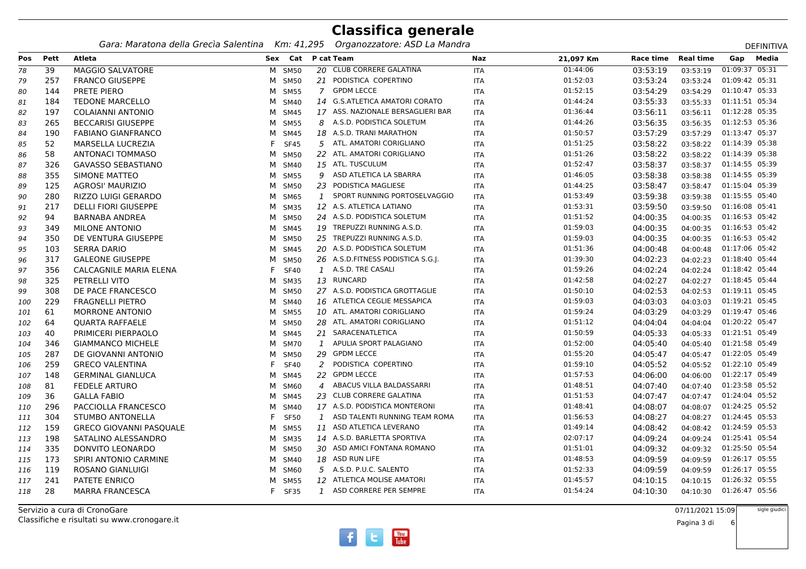*Gara: Maratona della Grecìa Salentina Km: 41,295 Organozzatore: ASD La Mandra*

|            |             | Gara: Maratona della Grecia Salentina |   | KM: 41,295         |                | "Organozzatore: ASD La Mandra     |            |           |           |                  |                | DEFINITIVA |
|------------|-------------|---------------------------------------|---|--------------------|----------------|-----------------------------------|------------|-----------|-----------|------------------|----------------|------------|
| <b>Pos</b> | <b>Pett</b> | <b>Atleta</b>                         |   | Sex Cat P cat Team |                |                                   | <b>Naz</b> | 21,097 Km | Race time | <b>Real time</b> | Gap            | Media      |
| 78         | 39          | <b>MAGGIO SALVATORE</b>               |   | M SM50             |                | 20 CLUB CORRERE GALATINA          | <b>ITA</b> | 01:44:06  | 03:53:19  | 03:53:19         | 01:09:37 05:31 |            |
| 79         | 257         | <b>FRANCO GIUSEPPE</b>                |   | M SM50             |                | 21 PODISTICA COPERTINO            | <b>ITA</b> | 01:52:03  | 03:53:24  | 03:53:24         | 01:09:42 05:31 |            |
| 80         | 144         | PRETE PIERO                           |   | M SM55             |                | 7 GPDM LECCE                      | <b>ITA</b> | 01:52:15  | 03:54:29  | 03:54:29         | 01:10:47 05:33 |            |
| 81         | 184         | <b>TEDONE MARCELLO</b>                |   | M SM40             |                | 14 G.S.ATLETICA AMATORI CORATO    | <b>ITA</b> | 01:44:24  | 03:55:33  | 03:55:33         | 01:11:51 05:34 |            |
| 82         | 197         | <b>COLAIANNI ANTONIO</b>              |   | M SM45             |                | 17 ASS. NAZIONALE BERSAGLIERI BAR | ITA        | 01:36:44  | 03:56:11  | 03:56:11         | 01:12:28 05:35 |            |
| 83         | 265         | <b>BECCARISI GIUSEPPE</b>             |   | M SM55             | 8              | A.S.D. PODISTICA SOLETUM          | <b>ITA</b> | 01:44:26  | 03:56:35  | 03:56:35         | 01:12:53 05:36 |            |
| 84         | 190         | <b>FABIANO GIANFRANCO</b>             |   | M SM45             |                | 18 A.S.D. TRANI MARATHON          | <b>ITA</b> | 01:50:57  | 03:57:29  | 03:57:29         | 01:13:47 05:37 |            |
| 85         | 52          | MARSELLA LUCREZIA                     |   | F SF45             |                | 5 ATL. AMATORI CORIGLIANO         | <b>ITA</b> | 01:51:25  | 03:58:22  | 03:58:22         | 01:14:39 05:38 |            |
| 86         | 58          | ANTONACI TOMMASO                      |   | M SM50             |                | 22 ATL. AMATORI CORIGLIANO        | <b>ITA</b> | 01:51:26  | 03:58:22  | 03:58:22         | 01:14:39 05:38 |            |
| 87         | 326         | <b>GAVASSO SEBASTIANO</b>             |   | M SM40             |                | 15 ATL. TUSCULUM                  | <b>ITA</b> | 01:52:47  | 03:58:37  | 03:58:37         | 01:14:55 05:39 |            |
| 88         | 355         | SIMONE MATTEO                         |   | M SM55             |                | 9 ASD ATLETICA LA SBARRA          | <b>ITA</b> | 01:46:05  | 03:58:38  | 03:58:38         | 01:14:55 05:39 |            |
| 89         | 125         | AGROSI' MAURIZIO                      |   | M SM50             |                | 23 PODISTICA MAGLIESE             | ITA        | 01:44:25  | 03:58:47  | 03:58:47         | 01:15:04 05:39 |            |
| 90         | 280         | RIZZO LUIGI GERARDO                   |   | M SM65             | $\mathbf{1}$   | SPORT RUNNING PORTOSELVAGGIO      | ITA        | 01:53:49  | 03:59:38  | 03:59:38         | 01:15:55 05:40 |            |
| 91         | 217         | <b>DELLI FIORI GIUSEPPE</b>           |   | M SM35             |                | 12 A.S. ATLETICA LATIANO          | <b>ITA</b> | 01:53:31  | 03:59:50  | 03:59:50         | 01:16:08 05:41 |            |
| 92         | 94          | <b>BARNABA ANDREA</b>                 |   | M SM50             |                | 24 A.S.D. PODISTICA SOLETUM       | ITA        | 01:51:52  | 04:00:35  | 04:00:35         | 01:16:53 05:42 |            |
| 93         | 349         | <b>MILONE ANTONIO</b>                 |   | M SM45             |                | 19 TREPUZZI RUNNING A.S.D.        | ITA        | 01:59:03  | 04:00:35  | 04:00:35         | 01:16:53 05:42 |            |
| 94         | 350         | DE VENTURA GIUSEPPE                   |   | M SM50             |                | 25 TREPUZZI RUNNING A.S.D.        | <b>ITA</b> | 01:59:03  | 04:00:35  | 04:00:35         | 01:16:53 05:42 |            |
| 95         | 103         | <b>SERRA DARIO</b>                    |   | M SM45             |                | 20 A.S.D. PODISTICA SOLETUM       | <b>ITA</b> | 01:51:36  | 04:00:48  | 04:00:48         | 01:17:06 05:42 |            |
| 96         | 317         | <b>GALEONE GIUSEPPE</b>               |   | M SM50             |                | 26 A.S.D.FITNESS PODISTICA S.G.J. | ITA        | 01:39:30  | 04:02:23  | 04:02:23         | 01:18:40 05:44 |            |
| 97         | 356         | CALCAGNILE MARIA ELENA                |   | <b>SF40</b>        |                | 1 A.S.D. TRE CASALI               | <b>ITA</b> | 01:59:26  | 04:02:24  | 04:02:24         | 01:18:42 05:44 |            |
| 98         | 325         | PETRELLI VITO                         |   | M SM35             |                | 13 RUNCARD                        | <b>ITA</b> | 01:42:58  | 04:02:27  | 04:02:27         | 01:18:45 05:44 |            |
| 99         | 308         | DE PACE FRANCESCO                     |   | M SM50             |                | 27 A.S.D. PODISTICA GROTTAGLIE    | <b>ITA</b> | 01:50:10  | 04:02:53  | 04:02:53         | 01:19:11 05:45 |            |
| 100        | 229         | <b>FRAGNELLI PIETRO</b>               |   | M SM40             |                | 16 ATLETICA CEGLIE MESSAPICA      | ITA        | 01:59:03  | 04:03:03  | 04:03:03         | 01:19:21 05:45 |            |
| 101        | 61          | <b>MORRONE ANTONIO</b>                |   | M SM55             |                | 10 ATL. AMATORI CORIGLIANO        | ITA        | 01:59:24  | 04:03:29  | 04:03:29         | 01:19:47 05:46 |            |
| 102        | 64          | <b>QUARTA RAFFAELE</b>                |   | M SM50             |                | 28 ATL. AMATORI CORIGLIANO        | <b>ITA</b> | 01:51:12  | 04:04:04  | 04:04:04         | 01:20:22 05:47 |            |
| 103        | 40          | PRIMICERI PIERPAOLO                   |   | M SM45             |                | 21 SARACENATLETICA                | ITA        | 01:50:59  | 04:05:33  | 04:05:33         | 01:21:51 05:49 |            |
| 104        | 346         | <b>GIAMMANCO MICHELE</b>              |   | M SM70             |                | 1 APULIA SPORT PALAGIANO          | ITA        | 01:52:00  | 04:05:40  | 04:05:40         | 01:21:58 05:49 |            |
| 105        | 287         | DE GIOVANNI ANTONIO                   | M | <b>SM50</b>        | 29             | <b>GPDM LECCE</b>                 | ITA        | 01:55:20  | 04:05:47  | 04:05:47         | 01:22:05 05:49 |            |
| 106        | 259         | <b>GRECO VALENTINA</b>                |   | <b>SF40</b>        | 2              | PODISTICA COPERTINO               | <b>ITA</b> | 01:59:10  | 04:05:52  | 04:05:52         | 01:22:10 05:49 |            |
| 107        | 148         | <b>GERMINAL GIANLUCA</b>              |   | M SM45             |                | 22 GPDM LECCE                     | ITA        | 01:57:53  | 04:06:00  | 04:06:00         | 01:22:17 05:49 |            |
| 108        | 81          | <b>FEDELE ARTURO</b>                  |   | M SM60             | $\overline{4}$ | ABACUS VILLA BALDASSARRI          | <b>ITA</b> | 01:48:51  | 04:07:40  | 04:07:40         | 01:23:58 05:52 |            |
| 109        | 36          | <b>GALLA FABIO</b>                    | М | SM45               |                | 23 CLUB CORRERE GALATINA          | <b>ITA</b> | 01:51:53  | 04:07:47  | 04:07:47         | 01:24:04 05:52 |            |
| 110        | 296         | PACCIOLLA FRANCESCO                   |   | M SM40             |                | 17 A.S.D. PODISTICA MONTERONI     | <b>ITA</b> | 01:48:41  | 04:08:07  | 04:08:07         | 01:24:25 05:52 |            |
| 111        | 304         | <b>STUMBO ANTONELLA</b>               |   | <b>SF50</b>        |                | 1 ASD TALENTI RUNNING TEAM ROMA   | <b>ITA</b> | 01:56:53  | 04:08:27  | 04:08:27         | 01:24:45 05:53 |            |
| 112        | 159         | <b>GRECO GIOVANNI PASQUALE</b>        |   | M SM55             |                | 11 ASD ATLETICA LEVERANO          | ITA        | 01:49:14  | 04:08:42  | 04:08:42         | 01:24:59 05:53 |            |
| 113        | 198         | SATALINO ALESSANDRO                   |   | M SM35             |                | 14 A.S.D. BARLETTA SPORTIVA       | <b>ITA</b> | 02:07:17  | 04:09:24  | 04:09:24         | 01:25:41 05:54 |            |
| 114        | 335         | DONVITO LEONARDO                      |   | M SM50             |                | 30 ASD AMICI FONTANA ROMANO       | ITA        | 01:51:01  | 04:09:32  | 04:09:32         | 01:25:50 05:54 |            |
| 115        | 173         | SPIRI ANTONIO CARMINE                 |   | M SM40             |                | 18 ASD RUN LIFE                   | ITA        | 01:48:53  | 04:09:59  | 04:09:59         | 01:26:17 05:55 |            |
| 116        | 119         | ROSANO GIANLUIGI                      | M | SM60               |                | 5 A.S.D. P.U.C. SALENTO           | <b>ITA</b> | 01:52:33  | 04:09:59  | 04:09:59         | 01:26:17 05:55 |            |
| 117        | 241         | PATETE ENRICO                         | м | <b>SM55</b>        |                | 12 ATLETICA MOLISE AMATORI        | ITA        | 01:45:57  | 04:10:15  | 04:10:15         | 01:26:32 05:55 |            |
| 118        | 28          | <b>MARRA FRANCESCA</b>                |   | F SF35             |                | 1 ASD CORRERE PER SEMPRE          | ITA        | 01:54:24  | 04:10:30  | 04:10:30         | 01:26:47 05:56 |            |
|            |             |                                       |   |                    |                |                                   |            |           |           |                  |                |            |

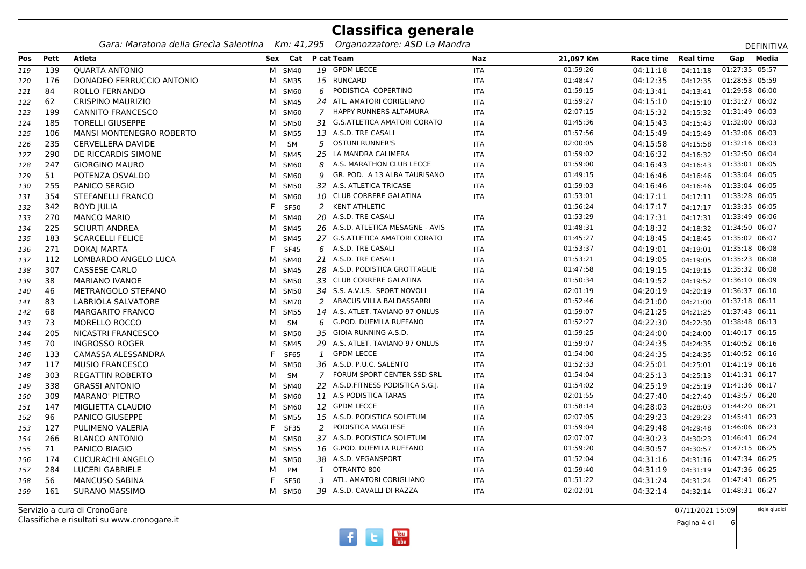*Gara: Maratona della Grecìa Salentina Km: 41,295 Organozzatore: ASD La Mandra*

| <b>DEFINITIV</b> |
|------------------|
|------------------|

|     |      | Gara: Maratona della Grecia Salentina |   | KM: 41,295         |                | - Organozzatore: ASD La Mandra    |            |           |           |                  |                | DEFINITIVA |
|-----|------|---------------------------------------|---|--------------------|----------------|-----------------------------------|------------|-----------|-----------|------------------|----------------|------------|
| Pos | Pett | Atleta                                |   | Sex Cat P cat Team |                |                                   | Naz        | 21,097 Km | Race time | <b>Real time</b> | Gap            | Media      |
| 119 | 139  | <b>OUARTA ANTONIO</b>                 |   | M SM40             |                | 19 GPDM LECCE                     | <b>ITA</b> | 01:59:26  | 04:11:18  | 04:11:18         | 01:27:35 05:57 |            |
| 120 | 176  | DONADEO FERRUCCIO ANTONIO             |   | M SM35             |                | 15 RUNCARD                        | <b>ITA</b> | 01:48:47  | 04:12:35  | 04:12:35         | 01:28:53 05:59 |            |
| 121 | 84   | ROLLO FERNANDO                        |   | M SM60             | 6              | PODISTICA COPERTINO               | <b>ITA</b> | 01:59:15  | 04:13:41  | 04:13:41         | 01:29:58 06:00 |            |
| 122 | 62   | CRISPINO MAURIZIO                     | M | SM45               |                | 24 ATL. AMATORI CORIGLIANO        | <b>ITA</b> | 01:59:27  | 04:15:10  | 04:15:10         | 01:31:27 06:02 |            |
| 123 | 199  | <b>CANNITO FRANCESCO</b>              | M | SM60               | $7^{\circ}$    | HAPPY RUNNERS ALTAMURA            | <b>ITA</b> | 02:07:15  | 04:15:32  | 04:15:32         | 01:31:49 06:03 |            |
| 124 | 185  | <b>TORELLI GIUSEPPE</b>               | м | <b>SM50</b>        |                | 31 G.S.ATLETICA AMATORI CORATO    | <b>ITA</b> | 01:45:36  | 04:15:43  | 04:15:43         | 01:32:00 06:03 |            |
| 125 | 106  | <b>MANSI MONTENEGRO ROBERTO</b>       | м | <b>SM55</b>        |                | 13 A.S.D. TRE CASALI              | ITA        | 01:57:56  | 04:15:49  | 04:15:49         | 01:32:06 06:03 |            |
| 126 | 235  | <b>CERVELLERA DAVIDE</b>              | м | <b>SM</b>          | 5.             | <b>OSTUNI RUNNER'S</b>            | ITA        | 02:00:05  | 04:15:58  | 04:15:58         | 01:32:16 06:03 |            |
| 127 | 290  | DE RICCARDIS SIMONE                   | м | SM45               | 25             | LA MANDRA CALIMERA                | <b>ITA</b> | 01:59:02  | 04:16:32  | 04:16:32         | 01:32:50 06:04 |            |
| 128 | 247  | <b>GIORGINO MAURO</b>                 | м | SM60               | 8              | A.S. MARATHON CLUB LECCE          | <b>ITA</b> | 01:59:00  | 04:16:43  | 04:16:43         | 01:33:01 06:05 |            |
| 129 | 51   | POTENZA OSVALDO                       | M | SM60               |                | 9 GR. POD. A 13 ALBA TAURISANO    | ITA        | 01:49:15  | 04:16:46  | 04:16:46         | 01:33:04 06:05 |            |
| 130 | 255  | <b>PANICO SERGIO</b>                  | M | <b>SM50</b>        |                | 32 A.S. ATLETICA TRICASE          | <b>ITA</b> | 01:59:03  | 04:16:46  | 04:16:46         | 01:33:04 06:05 |            |
| 131 | 354  | STEFANELLI FRANCO                     | м | SM60               |                | 10 CLUB CORRERE GALATINA          | <b>ITA</b> | 01:53:01  | 04:17:11  | 04:17:11         | 01:33:28 06:05 |            |
| 132 | 342  | <b>BOYD JULIA</b>                     |   | <b>SF50</b>        | 2              | <b>KENT ATHLETIC</b>              |            | 01:56:24  | 04:17:17  | 04:17:17         | 01:33:35 06:05 |            |
| 133 | 270  | <b>MANCO MARIO</b>                    | м | SM40               |                | 20 A.S.D. TRE CASALI              | ITA        | 01:53:29  | 04:17:31  | 04:17:31         | 01:33:49 06:06 |            |
| 134 | 225  | <b>SCIURTI ANDREA</b>                 | м | SM45               |                | 26 A.S.D. ATLETICA MESAGNE - AVIS | <b>ITA</b> | 01:48:31  | 04:18:32  | 04:18:32         | 01:34:50 06:07 |            |
| 135 | 183  | <b>SCARCELLI FELICE</b>               | м | SM45               |                | 27 G.S.ATLETICA AMATORI CORATO    | <b>ITA</b> | 01:45:27  | 04:18:45  | 04:18:45         | 01:35:02 06:07 |            |
| 136 | 271  | DOKAJ MARTA                           |   | <b>SF45</b>        |                | 6 A.S.D. TRE CASALI               | ITA        | 01:53:37  | 04:19:01  | 04:19:01         | 01:35:18 06:08 |            |
| 137 | 112  | LOMBARDO ANGELO LUCA                  | м | SM40               |                | 21 A.S.D. TRE CASALI              | ITA        | 01:53:21  | 04:19:05  | 04:19:05         | 01:35:23 06:08 |            |
| 138 | 307  | <b>CASSESE CARLO</b>                  | M | SM45               |                | 28 A.S.D. PODISTICA GROTTAGLIE    | <b>ITA</b> | 01:47:58  | 04:19:15  | 04:19:15         | 01:35:32 06:08 |            |
| 139 | 38   | <b>MARIANO IVANOE</b>                 | м | <b>SM50</b>        |                | 33 CLUB CORRERE GALATINA          | <b>ITA</b> | 01:50:34  | 04:19:52  | 04:19:52         | 01:36:10 06:09 |            |
| 140 | 46   | METRANGOLO STEFANO                    | M | <b>SM50</b>        |                | 34 S.S. A.V.I.S. SPORT NOVOLI     | <b>ITA</b> | 02:01:19  | 04:20:19  | 04:20:19         | 01:36:37 06:10 |            |
| 141 | 83   | LABRIOLA SALVATORE                    | M | <b>SM70</b>        |                | 2 ABACUS VILLA BALDASSARRI        | ITA        | 01:52:46  | 04:21:00  | 04:21:00         | 01:37:18 06:11 |            |
| 142 | 68   | <b>MARGARITO FRANCO</b>               | м | <b>SM55</b>        |                | 14 A.S. ATLET. TAVIANO 97 ONLUS   | <b>ITA</b> | 01:59:07  | 04:21:25  | 04:21:25         | 01:37:43 06:11 |            |
| 143 | 73   | <b>MORELLO ROCCO</b>                  | м | <b>SM</b>          |                | 6 G.POD. DUEMILA RUFFANO          | <b>ITA</b> | 01:52:27  | 04:22:30  | 04:22:30         | 01:38:48 06:13 |            |
| 144 | 205  | NICASTRI FRANCESCO                    | м | <b>SM50</b>        |                | 35 GIOIA RUNNING A.S.D.           | ITA        | 01:59:25  | 04:24:00  | 04:24:00         | 01:40:17 06:15 |            |
| 145 | 70   | <b>INGROSSO ROGER</b>                 | м | SM45               |                | 29 A.S. ATLET. TAVIANO 97 ONLUS   | <b>ITA</b> | 01:59:07  | 04:24:35  | 04:24:35         | 01:40:52 06:16 |            |
| 146 | 133  | CAMASSA ALESSANDRA                    |   | SF65               | $\mathbf{1}$   | <b>GPDM LECCE</b>                 | <b>ITA</b> | 01:54:00  | 04:24:35  | 04:24:35         | 01:40:52 06:16 |            |
| 147 | 117  | <b>MUSIO FRANCESCO</b>                | м | <b>SM50</b>        |                | 36 A.S.D. P.U.C. SALENTO          | ITA        | 01:52:33  | 04:25:01  | 04:25:01         | 01:41:19 06:16 |            |
| 148 | 303  | <b>REGATTIN ROBERTO</b>               | м | <b>SM</b>          | $\overline{7}$ | FORUM SPORT CENTER SSD SRL        | ITA        | 01:54:04  | 04:25:13  | 04:25:13         | 01:41:31 06:17 |            |
| 149 | 338  | <b>GRASSI ANTONIO</b>                 | м | SM40               |                | 22 A.S.D.FITNESS PODISTICA S.G.I. | <b>ITA</b> | 01:54:02  | 04:25:19  | 04:25:19         | 01:41:36 06:17 |            |
| 150 | 309  | <b>MARANO' PIETRO</b>                 | м | SM60               |                | 11 A.S PODISTICA TARAS            | ITA        | 02:01:55  | 04:27:40  | 04:27:40         | 01:43:57 06:20 |            |
| 151 | 147  | MIGLIETTA CLAUDIO                     | M | SM60               |                | 12 GPDM LECCE                     | <b>ITA</b> | 01:58:14  | 04:28:03  | 04:28:03         | 01:44:20 06:21 |            |
| 152 | 96   | <b>PANICO GIUSEPPE</b>                | M | <b>SM55</b>        |                | 15 A.S.D. PODISTICA SOLETUM       | <b>ITA</b> | 02:07:05  | 04:29:23  | 04:29:23         | 01:45:41 06:23 |            |
| 153 | 127  | PULIMENO VALERIA                      |   | <b>SF35</b>        | 2              | PODISTICA MAGLIESE                | <b>ITA</b> | 01:59:04  | 04:29:48  | 04:29:48         | 01:46:06 06:23 |            |
| 154 | 266  | <b>BLANCO ANTONIO</b>                 | м | <b>SM50</b>        |                | 37 A.S.D. PODISTICA SOLETUM       | <b>ITA</b> | 02:07:07  | 04:30:23  | 04:30:23         | 01:46:41 06:24 |            |
| 155 | 71   | PANICO BIAGIO                         | м | SM55               |                | 16 G.POD. DUEMILA RUFFANO         | ITA        | 01:59:20  | 04:30:57  | 04:30:57         | 01:47:15 06:25 |            |
| 156 | 174  | <b>CUCURACHI ANGELO</b>               | м | <b>SM50</b>        |                | 38 A.S.D. VEGANSPORT              | <b>ITA</b> | 01:52:04  | 04:31:16  | 04:31:16         | 01:47:34 06:25 |            |
| 157 | 284  | <b>LUCERI GABRIELE</b>                | м | PM                 | $\mathbf{1}$   | OTRANTO 800                       | <b>ITA</b> | 01:59:40  | 04:31:19  | 04:31:19         | 01:47:36 06:25 |            |
| 158 | 56   | <b>MANCUSO SABINA</b>                 |   | <b>SF50</b>        | 3              | ATL. AMATORI CORIGLIANO           | ITA        | 01:51:22  | 04:31:24  | 04:31:24         | 01:47:41 06:25 |            |
| 159 | 161  | <b>SURANO MASSIMO</b>                 |   | M SM50             |                | 39 A.S.D. CAVALLI DI RAZZA        | ITA        | 02:02:01  | 04:32:14  | 04:32:14         | 01:48:31 06:27 |            |
|     |      |                                       |   |                    |                |                                   |            |           |           |                  |                |            |

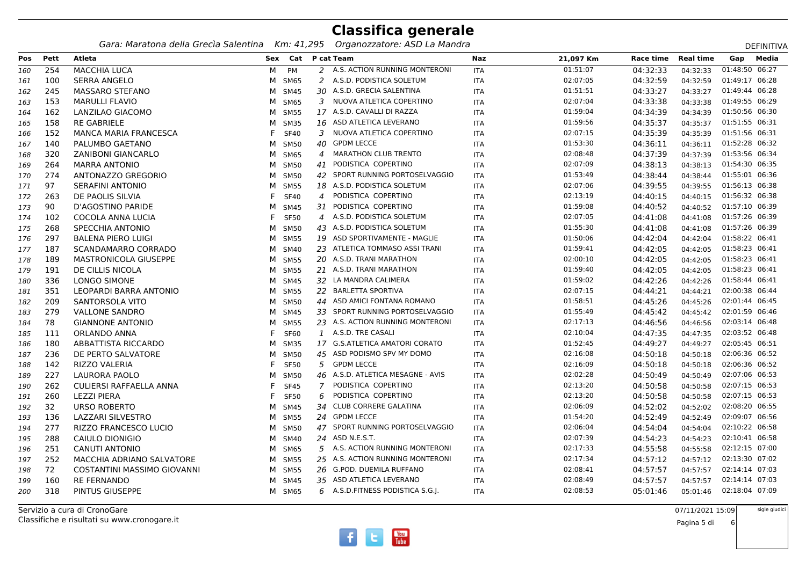*Gara: Maratona della Grecìa Salentina Km: 41,295 Organozzatore: ASD La Mandra*

|     |      | Gara: Maratona della Grecia Salentina |   | KM: 41,295         |                | - Organozzatore: ASD La Mandra    |            |           |           |                  |                | DEFINITIVA |
|-----|------|---------------------------------------|---|--------------------|----------------|-----------------------------------|------------|-----------|-----------|------------------|----------------|------------|
| Pos | Pett | Atleta                                |   | Sex Cat P cat Team |                |                                   | Naz        | 21,097 Km | Race time | <b>Real time</b> | Gap            | Media      |
| 160 | 254  | <b>MACCHIA LUCA</b>                   | М | PM                 |                | 2 A.S. ACTION RUNNING MONTERONI   | <b>ITA</b> | 01:51:07  | 04:32:33  | 04:32:33         | 01:48:50 06:27 |            |
| 161 | 100  | <b>SERRA ANGELO</b>                   | M | SM65               | $\overline{2}$ | A.S.D. PODISTICA SOLETUM          | <b>ITA</b> | 02:07:05  | 04:32:59  | 04:32:59         | 01:49:17 06:28 |            |
| 162 | 245  | <b>MASSARO STEFANO</b>                | м | SM45               |                | 30 A.S.D. GRECIA SALENTINA        | <b>ITA</b> | 01:51:51  | 04:33:27  | 04:33:27         | 01:49:44 06:28 |            |
| 163 | 153  | <b>MARULLI FLAVIO</b>                 | M | SM65               |                | 3 NUOVA ATLETICA COPERTINO        | ITA        | 02:07:04  | 04:33:38  | 04:33:38         | 01:49:55 06:29 |            |
| 164 | 162  | LANZILAO GIACOMO                      | м | <b>SM55</b>        |                | 17 A.S.D. CAVALLI DI RAZZA        | ITA        | 01:59:04  | 04:34:39  | 04:34:39         | 01:50:56 06:30 |            |
| 165 | 158  | <b>RE GABRIELE</b>                    | м | <b>SM35</b>        |                | 16 ASD ATLETICA LEVERANO          | <b>ITA</b> | 01:59:56  | 04:35:37  | 04:35:37         | 01:51:55 06:31 |            |
| 166 | 152  | <b>MANCA MARIA FRANCESCA</b>          |   | <b>SF40</b>        |                | 3 NUOVA ATLETICA COPERTINO        | ITA        | 02:07:15  | 04:35:39  | 04:35:39         | 01:51:56 06:31 |            |
| 167 | 140  | PALUMBO GAETANO                       | м | <b>SM50</b>        | 40             | <b>GPDM LECCE</b>                 | ITA        | 01:53:30  | 04:36:11  | 04:36:11         | 01:52:28 06:32 |            |
| 168 | 320  | <b>ZANIBONI GIANCARLO</b>             | м | SM65               | 4              | MARATHON CLUB TRENTO              | <b>ITA</b> | 02:08:48  | 04:37:39  | 04:37:39         | 01:53:56 06:34 |            |
| 169 | 264  | <b>MARRA ANTONIO</b>                  | м | <b>SM50</b>        | 41             | PODISTICA COPERTINO               | ITA        | 02:07:09  | 04:38:13  | 04:38:13         | 01:54:30 06:35 |            |
| 170 | 274  | ANTONAZZO GREGORIO                    |   | M SM50             |                | 42 SPORT RUNNING PORTOSELVAGGIO   | ITA        | 01:53:49  | 04:38:44  | 04:38:44         | 01:55:01 06:36 |            |
| 171 | 97   | <b>SERAFINI ANTONIO</b>               | м | <b>SM55</b>        |                | 18 A.S.D. PODISTICA SOLETUM       | <b>ITA</b> | 02:07:06  | 04:39:55  | 04:39:55         | 01:56:13 06:38 |            |
| 172 | 263  | DE PAOLIS SILVIA                      |   | <b>SF40</b>        | $\overline{4}$ | PODISTICA COPERTINO               | <b>ITA</b> | 02:13:19  | 04:40:15  | 04:40:15         | 01:56:32 06:38 |            |
| 173 | 90   | D'AGOSTINO PARIDE                     | м | SM45               |                | 31 PODISTICA COPERTINO            | ITA        | 01:59:08  | 04:40:52  | 04:40:52         | 01:57:10 06:39 |            |
| 174 | 102  | COCOLA ANNA LUCIA                     |   | <b>SF50</b>        |                | 4 A.S.D. PODISTICA SOLETUM        | ITA        | 02:07:05  | 04:41:08  | 04:41:08         | 01:57:26 06:39 |            |
| 175 | 268  | SPECCHIA ANTONIO                      | м | <b>SM50</b>        |                | 43 A.S.D. PODISTICA SOLETUM       | ITA        | 01:55:30  | 04:41:08  | 04:41:08         | 01:57:26 06:39 |            |
| 176 | 297  | <b>BALENA PIERO LUIGI</b>             | м | <b>SM55</b>        |                | 19 ASD SPORTIVAMENTE - MAGLIE     | ITA        | 01:50:06  | 04:42:04  | 04:42:04         | 01:58:22 06:41 |            |
| 177 | 187  | SCANDAMARRO CORRADO                   | м | SM40               |                | 23 ATLETICA TOMMASO ASSI TRANI    | ITA        | 01:59:41  | 04:42:05  | 04:42:05         | 01:58:23 06:41 |            |
| 178 | 189  | <b>MASTRONICOLA GIUSEPPE</b>          |   | M SM55             |                | 20 A.S.D. TRANI MARATHON          | ITA        | 02:00:10  | 04:42:05  | 04:42:05         | 01:58:23 06:41 |            |
| 179 | 191  | DE CILLIS NICOLA                      | M | <b>SM55</b>        |                | 21 A.S.D. TRANI MARATHON          | ITA        | 01:59:40  | 04:42:05  | 04:42:05         | 01:58:23 06:41 |            |
| 180 | 336  | <b>LONGO SIMONE</b>                   | M | SM45               |                | 32 LA MANDRA CALIMERA             | ITA        | 01:59:02  | 04:42:26  | 04:42:26         | 01:58:44 06:41 |            |
| 181 | 351  | LEOPARDI BARRA ANTONIO                |   | M SM55             |                | 22 BARLETTA SPORTIVA              | ITA        | 02:07:15  | 04:44:21  | 04:44:21         | 02:00:38 06:44 |            |
| 182 | 209  | SANTORSOLA VITO                       | M | <b>SM50</b>        |                | 44 ASD AMICI FONTANA ROMANO       | ITA        | 01:58:51  | 04:45:26  | 04:45:26         | 02:01:44 06:45 |            |
| 183 | 279  | <b>VALLONE SANDRO</b>                 | M | <b>SM45</b>        |                | 33 SPORT RUNNING PORTOSELVAGGIO   | <b>ITA</b> | 01:55:49  | 04:45:42  | 04:45:42         | 02:01:59 06:46 |            |
| 184 | 78   | <b>GIANNONE ANTONIO</b>               | м | <b>SM55</b>        |                | 23 A.S. ACTION RUNNING MONTERONI  | ITA        | 02:17:13  | 04:46:56  | 04:46:56         | 02:03:14 06:48 |            |
| 185 | 111  | ORLANDO ANNA                          |   | SF60               |                | 1 A.S.D. TRE CASALI               | ITA        | 02:10:04  | 04:47:35  | 04:47:35         | 02:03:52 06:48 |            |
| 186 | 180  | ABBATTISTA RICCARDO                   | м | SM35               |                | 17 G.S.ATLETICA AMATORI CORATO    | ITA        | 01:52:45  | 04:49:27  | 04:49:27         | 02:05:45 06:51 |            |
| 187 | 236  | DE PERTO SALVATORE                    | м | <b>SM50</b>        |                | 45 ASD PODISMO SPV MY DOMO        | ITA        | 02:16:08  | 04:50:18  | 04:50:18         | 02:06:36 06:52 |            |
| 188 | 142  | <b>RIZZO VALERIA</b>                  |   | <b>SF50</b>        |                | 5 GPDM LECCE                      | ITA        | 02:16:09  | 04:50:18  | 04:50:18         | 02:06:36 06:52 |            |
| 189 | 227  | LAURORA PAOLO                         | м | <b>SM50</b>        |                | 46 A.S.D. ATLETICA MESAGNE - AVIS | ITA        | 02:02:28  | 04:50:49  | 04:50:49         | 02:07:06 06:53 |            |
| 190 | 262  | <b>CULIERSI RAFFAELLA ANNA</b>        |   | <b>SF45</b>        | 7              | PODISTICA COPERTINO               | <b>ITA</b> | 02:13:20  | 04:50:58  | 04:50:58         | 02:07:15 06:53 |            |
| 191 | 260  | LEZZI PIERA                           |   | <b>SF50</b>        | 6              | PODISTICA COPERTINO               | ITA        | 02:13:20  | 04:50:58  | 04:50:58         | 02:07:15 06:53 |            |
| 192 | 32   | URSO ROBERTO                          | M | SM45               |                | 34 CLUB CORRERE GALATINA          | ITA        | 02:06:09  | 04:52:02  | 04:52:02         | 02:08:20 06:55 |            |
| 193 | 136  | LAZZARI SILVESTRO                     |   | M SM55             |                | 24 GPDM LECCE                     | <b>ITA</b> | 01:54:20  | 04:52:49  | 04:52:49         | 02:09:07 06:56 |            |
| 194 | 277  | RIZZO FRANCESCO LUCIO                 | M | <b>SM50</b>        |                | 47 SPORT RUNNING PORTOSELVAGGIO   | <b>ITA</b> | 02:06:04  | 04:54:04  | 04:54:04         | 02:10:22 06:58 |            |
| 195 | 288  | CAIULO DIONIGIO                       | м | SM40               |                | 24 ASD N.E.S.T.                   | ITA        | 02:07:39  | 04:54:23  | 04:54:23         | 02:10:41 06:58 |            |
| 196 | 251  | <b>CANUTI ANTONIO</b>                 | M | SM65               |                | 5 A.S. ACTION RUNNING MONTERONI   | <b>ITA</b> | 02:17:33  | 04:55:58  | 04:55:58         | 02:12:15 07:00 |            |
| 197 | 252  | MACCHIA ADRIANO SALVATORE             | м | <b>SM55</b>        |                | 25 A.S. ACTION RUNNING MONTERONI  | <b>ITA</b> | 02:17:34  | 04:57:12  | 04:57:12         | 02:13:30 07:02 |            |
| 198 | 72   | COSTANTINI MASSIMO GIOVANNI           | м | <b>SM55</b>        |                | 26 G.POD. DUEMILA RUFFANO         | <b>ITA</b> | 02:08:41  | 04:57:57  | 04:57:57         | 02:14:14 07:03 |            |
| 199 | 160  | <b>RE FERNANDO</b>                    | м | SM45               |                | 35 ASD ATLETICA LEVERANO          | ITA        | 02:08:49  | 04:57:57  | 04:57:57         | 02:14:14 07:03 |            |
| 200 | 318  | PINTUS GIUSEPPE                       |   | M SM65             |                | 6 A.S.D. FITNESS PODISTICA S.G.J. | ITA        | 02:08:53  | 05:01:46  | 05:01:46         | 02:18:04 07:09 |            |
|     |      |                                       |   |                    |                |                                   |            |           |           |                  |                |            |